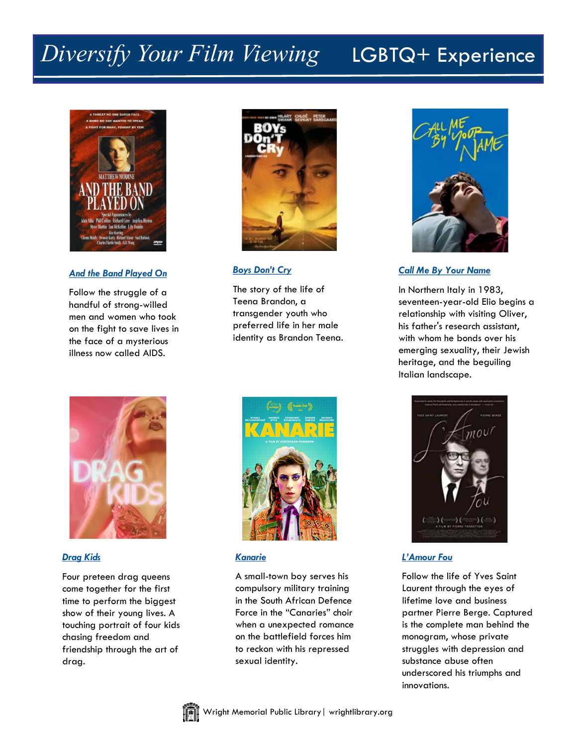# *Diversify Your Film Viewing* LGBTQ+ Experience



### *[And the Band Played On](https://catalog.wright.lib.oh.us/polaris/view.aspx?title=And-the-Band-Played-On)*

Follow the struggle of a handful of strong-willed men and women who took on the fight to save lives in the face of a mysterious illness now called AIDS.



### *[Boys Don't Cry](https://catalog.wright.lib.oh.us/polaris/view.aspx?title=Boys-Don’t-Cry&author=swank)*

The story of the life of Teena Brandon, a transgender youth who preferred life in her male identity as Brandon Teena.



### *[Call Me By Your Name](https://catalog.wright.lib.oh.us/polaris/view.aspx?title=Call-Me-By-Your-Name)*

In Northern Italy in 1983, seventeen-year-old Elio begins a relationship with visiting Oliver, his father's research assistant, with whom he bonds over his emerging sexuality, their Jewish heritage, and the beguiling Italian landscape.



#### *[Drag Kids](https://catalog.wright.lib.oh.us/polaris/view.aspx?title=Drag-Kids)*

Four preteen drag queens come together for the first time to perform the biggest show of their young lives. A touching portrait of four kids chasing freedom and friendship through the art of drag.



### *[Kanarie](https://catalog.wright.lib.oh.us/polaris/view.aspx?title=Kanarie)*

A small-town boy serves his compulsory military training in the South African Defence Force in the "Canaries" choir when a unexpected romance on the battlefield forces him to reckon with his repressed sexual identity.



### *[L'Amour Fou](https://catalog.wright.lib.oh.us/polaris/view.aspx?title=L’Amour-Fou)*

Follow the life of Yves Saint Laurent through the eyes of lifetime love and business partner Pierre Berge. Captured is the complete man behind the monogram, whose private struggles with depression and substance abuse often underscored his triumphs and innovations.